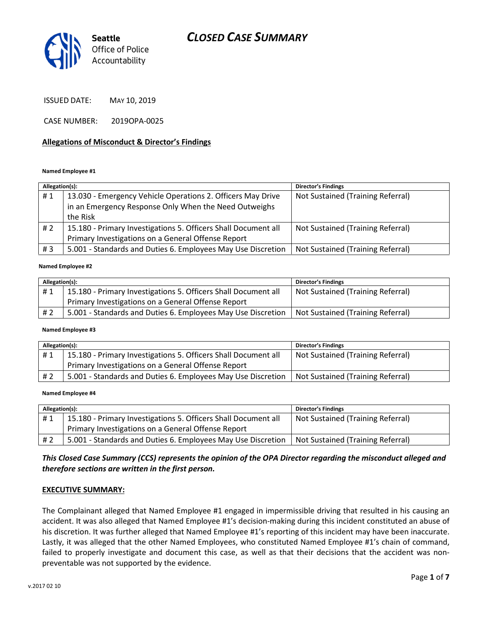

ISSUED DATE: MAY 10, 2019

CASE NUMBER: 2019OPA-0025

#### Allegations of Misconduct & Director's Findings

#### Named Employee #1

| Allegation(s): |                                                                | <b>Director's Findings</b>        |
|----------------|----------------------------------------------------------------|-----------------------------------|
| #1             | 13.030 - Emergency Vehicle Operations 2. Officers May Drive    | Not Sustained (Training Referral) |
|                | in an Emergency Response Only When the Need Outweighs          |                                   |
|                | the Risk                                                       |                                   |
| #2             | 15.180 - Primary Investigations 5. Officers Shall Document all | Not Sustained (Training Referral) |
|                | Primary Investigations on a General Offense Report             |                                   |
| #3             | 5.001 - Standards and Duties 6. Employees May Use Discretion   | Not Sustained (Training Referral) |
|                |                                                                |                                   |

#### Named Employee #2

| Allegation(s): |                                                                | <b>Director's Findings</b>        |
|----------------|----------------------------------------------------------------|-----------------------------------|
| #1             | 15.180 - Primary Investigations 5. Officers Shall Document all | Not Sustained (Training Referral) |
|                | Primary Investigations on a General Offense Report             |                                   |
| #2             | 5.001 - Standards and Duties 6. Employees May Use Discretion   | Not Sustained (Training Referral) |

#### Named Employee #3

| Allegation(s): |                                                                | <b>Director's Findings</b>        |
|----------------|----------------------------------------------------------------|-----------------------------------|
| #1             | 15.180 - Primary Investigations 5. Officers Shall Document all | Not Sustained (Training Referral) |
|                | Primary Investigations on a General Offense Report             |                                   |
| # 2            | 5.001 - Standards and Duties 6. Employees May Use Discretion   | Not Sustained (Training Referral) |

#### Named Employee #4

| Allegation(s): |                                                                | <b>Director's Findings</b>        |
|----------------|----------------------------------------------------------------|-----------------------------------|
| #1             | 15.180 - Primary Investigations 5. Officers Shall Document all | Not Sustained (Training Referral) |
|                | Primary Investigations on a General Offense Report             |                                   |
| # 2            | 5.001 - Standards and Duties 6. Employees May Use Discretion   | Not Sustained (Training Referral) |

#### This Closed Case Summary (CCS) represents the opinion of the OPA Director regarding the misconduct alleged and therefore sections are written in the first person.

#### EXECUTIVE SUMMARY:

The Complainant alleged that Named Employee #1 engaged in impermissible driving that resulted in his causing an accident. It was also alleged that Named Employee #1's decision-making during this incident constituted an abuse of his discretion. It was further alleged that Named Employee #1's reporting of this incident may have been inaccurate. Lastly, it was alleged that the other Named Employees, who constituted Named Employee #1's chain of command, failed to properly investigate and document this case, as well as that their decisions that the accident was nonpreventable was not supported by the evidence.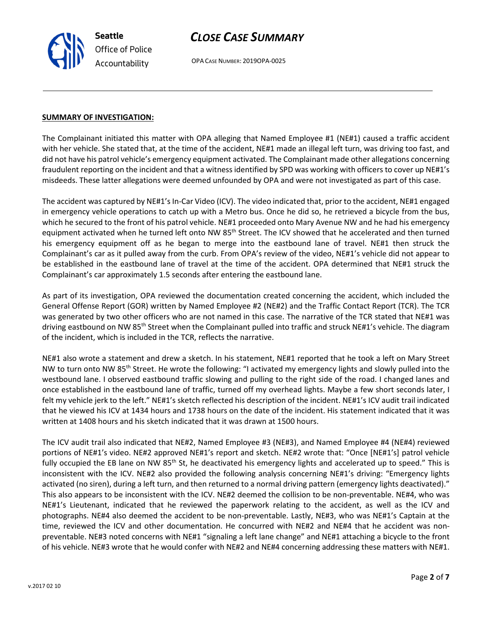OPA CASE NUMBER: 2019OPA-0025

#### SUMMARY OF INVESTIGATION:

Seattle

Office of Police Accountability

The Complainant initiated this matter with OPA alleging that Named Employee #1 (NE#1) caused a traffic accident with her vehicle. She stated that, at the time of the accident, NE#1 made an illegal left turn, was driving too fast, and did not have his patrol vehicle's emergency equipment activated. The Complainant made other allegations concerning fraudulent reporting on the incident and that a witness identified by SPD was working with officers to cover up NE#1's misdeeds. These latter allegations were deemed unfounded by OPA and were not investigated as part of this case.

The accident was captured by NE#1's In-Car Video (ICV). The video indicated that, prior to the accident, NE#1 engaged in emergency vehicle operations to catch up with a Metro bus. Once he did so, he retrieved a bicycle from the bus, which he secured to the front of his patrol vehicle. NE#1 proceeded onto Mary Avenue NW and he had his emergency equipment activated when he turned left onto NW 85<sup>th</sup> Street. The ICV showed that he accelerated and then turned his emergency equipment off as he began to merge into the eastbound lane of travel. NE#1 then struck the Complainant's car as it pulled away from the curb. From OPA's review of the video, NE#1's vehicle did not appear to be established in the eastbound lane of travel at the time of the accident. OPA determined that NE#1 struck the Complainant's car approximately 1.5 seconds after entering the eastbound lane.

As part of its investigation, OPA reviewed the documentation created concerning the accident, which included the General Offense Report (GOR) written by Named Employee #2 (NE#2) and the Traffic Contact Report (TCR). The TCR was generated by two other officers who are not named in this case. The narrative of the TCR stated that NE#1 was driving eastbound on NW 85<sup>th</sup> Street when the Complainant pulled into traffic and struck NE#1's vehicle. The diagram of the incident, which is included in the TCR, reflects the narrative.

NE#1 also wrote a statement and drew a sketch. In his statement, NE#1 reported that he took a left on Mary Street NW to turn onto NW 85<sup>th</sup> Street. He wrote the following: "I activated my emergency lights and slowly pulled into the westbound lane. I observed eastbound traffic slowing and pulling to the right side of the road. I changed lanes and once established in the eastbound lane of traffic, turned off my overhead lights. Maybe a few short seconds later, I felt my vehicle jerk to the left." NE#1's sketch reflected his description of the incident. NE#1's ICV audit trail indicated that he viewed his ICV at 1434 hours and 1738 hours on the date of the incident. His statement indicated that it was written at 1408 hours and his sketch indicated that it was drawn at 1500 hours.

The ICV audit trail also indicated that NE#2, Named Employee #3 (NE#3), and Named Employee #4 (NE#4) reviewed portions of NE#1's video. NE#2 approved NE#1's report and sketch. NE#2 wrote that: "Once [NE#1's] patrol vehicle fully occupied the EB lane on NW 85<sup>th</sup> St, he deactivated his emergency lights and accelerated up to speed." This is inconsistent with the ICV. NE#2 also provided the following analysis concerning NE#1's driving: "Emergency lights activated (no siren), during a left turn, and then returned to a normal driving pattern (emergency lights deactivated)." This also appears to be inconsistent with the ICV. NE#2 deemed the collision to be non-preventable. NE#4, who was NE#1's Lieutenant, indicated that he reviewed the paperwork relating to the accident, as well as the ICV and photographs. NE#4 also deemed the accident to be non-preventable. Lastly, NE#3, who was NE#1's Captain at the time, reviewed the ICV and other documentation. He concurred with NE#2 and NE#4 that he accident was nonpreventable. NE#3 noted concerns with NE#1 "signaling a left lane change" and NE#1 attaching a bicycle to the front of his vehicle. NE#3 wrote that he would confer with NE#2 and NE#4 concerning addressing these matters with NE#1.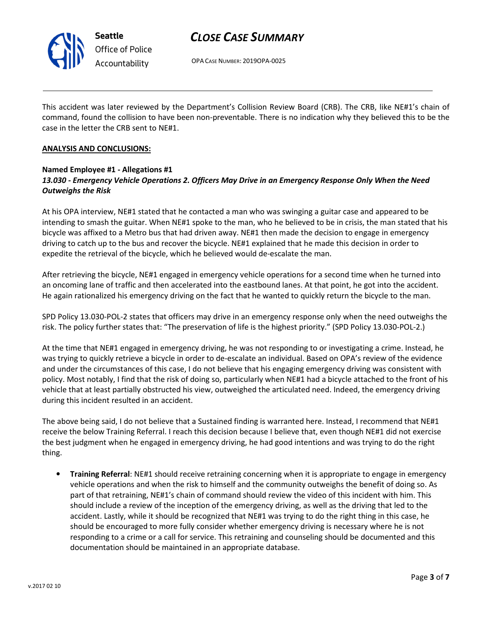

# Office of Police Accountability

# CLOSE CASE SUMMARY

OPA CASE NUMBER: 2019OPA-0025

This accident was later reviewed by the Department's Collision Review Board (CRB). The CRB, like NE#1's chain of command, found the collision to have been non-preventable. There is no indication why they believed this to be the case in the letter the CRB sent to NE#1.

#### ANALYSIS AND CONCLUSIONS:

### Named Employee #1 - Allegations #1 13.030 - Emergency Vehicle Operations 2. Officers May Drive in an Emergency Response Only When the Need Outweighs the Risk

At his OPA interview, NE#1 stated that he contacted a man who was swinging a guitar case and appeared to be intending to smash the guitar. When NE#1 spoke to the man, who he believed to be in crisis, the man stated that his bicycle was affixed to a Metro bus that had driven away. NE#1 then made the decision to engage in emergency driving to catch up to the bus and recover the bicycle. NE#1 explained that he made this decision in order to expedite the retrieval of the bicycle, which he believed would de-escalate the man.

After retrieving the bicycle, NE#1 engaged in emergency vehicle operations for a second time when he turned into an oncoming lane of traffic and then accelerated into the eastbound lanes. At that point, he got into the accident. He again rationalized his emergency driving on the fact that he wanted to quickly return the bicycle to the man.

SPD Policy 13.030-POL-2 states that officers may drive in an emergency response only when the need outweighs the risk. The policy further states that: "The preservation of life is the highest priority." (SPD Policy 13.030-POL-2.)

At the time that NE#1 engaged in emergency driving, he was not responding to or investigating a crime. Instead, he was trying to quickly retrieve a bicycle in order to de-escalate an individual. Based on OPA's review of the evidence and under the circumstances of this case, I do not believe that his engaging emergency driving was consistent with policy. Most notably, I find that the risk of doing so, particularly when NE#1 had a bicycle attached to the front of his vehicle that at least partially obstructed his view, outweighed the articulated need. Indeed, the emergency driving during this incident resulted in an accident.

The above being said, I do not believe that a Sustained finding is warranted here. Instead, I recommend that NE#1 receive the below Training Referral. I reach this decision because I believe that, even though NE#1 did not exercise the best judgment when he engaged in emergency driving, he had good intentions and was trying to do the right thing.

• Training Referral: NE#1 should receive retraining concerning when it is appropriate to engage in emergency vehicle operations and when the risk to himself and the community outweighs the benefit of doing so. As part of that retraining, NE#1's chain of command should review the video of this incident with him. This should include a review of the inception of the emergency driving, as well as the driving that led to the accident. Lastly, while it should be recognized that NE#1 was trying to do the right thing in this case, he should be encouraged to more fully consider whether emergency driving is necessary where he is not responding to a crime or a call for service. This retraining and counseling should be documented and this documentation should be maintained in an appropriate database.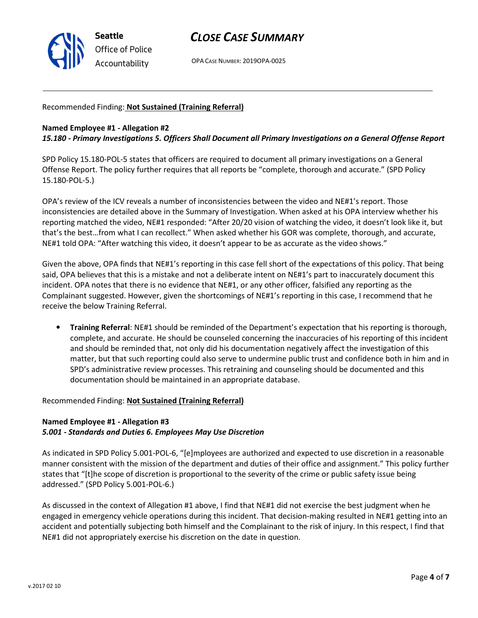

OPA CASE NUMBER: 2019OPA-0025

Recommended Finding: Not Sustained (Training Referral)

#### Named Employee #1 - Allegation #2

15.180 - Primary Investigations 5. Officers Shall Document all Primary Investigations on a General Offense Report

SPD Policy 15.180-POL-5 states that officers are required to document all primary investigations on a General Offense Report. The policy further requires that all reports be "complete, thorough and accurate." (SPD Policy 15.180-POL-5.)

OPA's review of the ICV reveals a number of inconsistencies between the video and NE#1's report. Those inconsistencies are detailed above in the Summary of Investigation. When asked at his OPA interview whether his reporting matched the video, NE#1 responded: "After 20/20 vision of watching the video, it doesn't look like it, but that's the best…from what I can recollect." When asked whether his GOR was complete, thorough, and accurate, NE#1 told OPA: "After watching this video, it doesn't appear to be as accurate as the video shows."

Given the above, OPA finds that NE#1's reporting in this case fell short of the expectations of this policy. That being said, OPA believes that this is a mistake and not a deliberate intent on NE#1's part to inaccurately document this incident. OPA notes that there is no evidence that NE#1, or any other officer, falsified any reporting as the Complainant suggested. However, given the shortcomings of NE#1's reporting in this case, I recommend that he receive the below Training Referral.

• Training Referral: NE#1 should be reminded of the Department's expectation that his reporting is thorough, complete, and accurate. He should be counseled concerning the inaccuracies of his reporting of this incident and should be reminded that, not only did his documentation negatively affect the investigation of this matter, but that such reporting could also serve to undermine public trust and confidence both in him and in SPD's administrative review processes. This retraining and counseling should be documented and this documentation should be maintained in an appropriate database.

Recommended Finding: Not Sustained (Training Referral)

### Named Employee #1 - Allegation #3 5.001 - Standards and Duties 6. Employees May Use Discretion

As indicated in SPD Policy 5.001-POL-6, "[e]mployees are authorized and expected to use discretion in a reasonable manner consistent with the mission of the department and duties of their office and assignment." This policy further states that "[t]he scope of discretion is proportional to the severity of the crime or public safety issue being addressed." (SPD Policy 5.001-POL-6.)

As discussed in the context of Allegation #1 above, I find that NE#1 did not exercise the best judgment when he engaged in emergency vehicle operations during this incident. That decision-making resulted in NE#1 getting into an accident and potentially subjecting both himself and the Complainant to the risk of injury. In this respect, I find that NE#1 did not appropriately exercise his discretion on the date in question.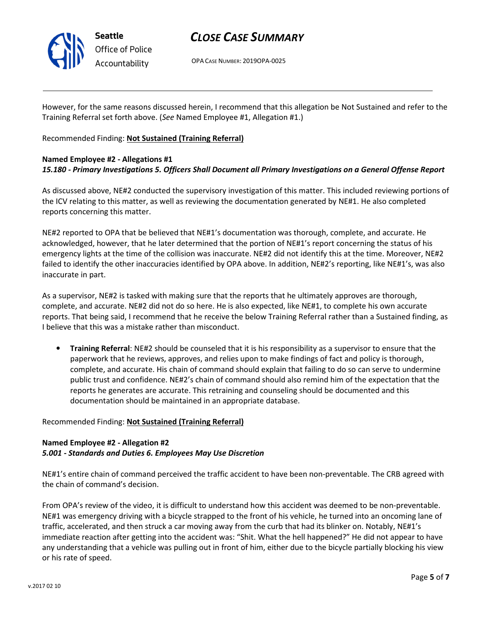

OPA CASE NUMBER: 2019OPA-0025

However, for the same reasons discussed herein, I recommend that this allegation be Not Sustained and refer to the Training Referral set forth above. (See Named Employee #1, Allegation #1.)

Recommended Finding: Not Sustained (Training Referral)

### Named Employee #2 - Allegations #1 15.180 - Primary Investigations 5. Officers Shall Document all Primary Investigations on a General Offense Report

As discussed above, NE#2 conducted the supervisory investigation of this matter. This included reviewing portions of the ICV relating to this matter, as well as reviewing the documentation generated by NE#1. He also completed reports concerning this matter.

NE#2 reported to OPA that be believed that NE#1's documentation was thorough, complete, and accurate. He acknowledged, however, that he later determined that the portion of NE#1's report concerning the status of his emergency lights at the time of the collision was inaccurate. NE#2 did not identify this at the time. Moreover, NE#2 failed to identify the other inaccuracies identified by OPA above. In addition, NE#2's reporting, like NE#1's, was also inaccurate in part.

As a supervisor, NE#2 is tasked with making sure that the reports that he ultimately approves are thorough, complete, and accurate. NE#2 did not do so here. He is also expected, like NE#1, to complete his own accurate reports. That being said, I recommend that he receive the below Training Referral rather than a Sustained finding, as I believe that this was a mistake rather than misconduct.

• Training Referral: NE#2 should be counseled that it is his responsibility as a supervisor to ensure that the paperwork that he reviews, approves, and relies upon to make findings of fact and policy is thorough, complete, and accurate. His chain of command should explain that failing to do so can serve to undermine public trust and confidence. NE#2's chain of command should also remind him of the expectation that the reports he generates are accurate. This retraining and counseling should be documented and this documentation should be maintained in an appropriate database.

### Recommended Finding: Not Sustained (Training Referral)

### Named Employee #2 - Allegation #2 5.001 - Standards and Duties 6. Employees May Use Discretion

NE#1's entire chain of command perceived the traffic accident to have been non-preventable. The CRB agreed with the chain of command's decision.

From OPA's review of the video, it is difficult to understand how this accident was deemed to be non-preventable. NE#1 was emergency driving with a bicycle strapped to the front of his vehicle, he turned into an oncoming lane of traffic, accelerated, and then struck a car moving away from the curb that had its blinker on. Notably, NE#1's immediate reaction after getting into the accident was: "Shit. What the hell happened?" He did not appear to have any understanding that a vehicle was pulling out in front of him, either due to the bicycle partially blocking his view or his rate of speed.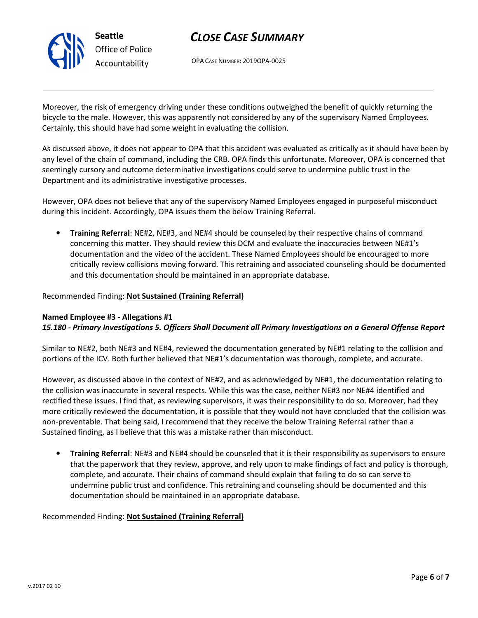

OPA CASE NUMBER: 2019OPA-0025

Moreover, the risk of emergency driving under these conditions outweighed the benefit of quickly returning the bicycle to the male. However, this was apparently not considered by any of the supervisory Named Employees. Certainly, this should have had some weight in evaluating the collision.

As discussed above, it does not appear to OPA that this accident was evaluated as critically as it should have been by any level of the chain of command, including the CRB. OPA finds this unfortunate. Moreover, OPA is concerned that seemingly cursory and outcome determinative investigations could serve to undermine public trust in the Department and its administrative investigative processes.

However, OPA does not believe that any of the supervisory Named Employees engaged in purposeful misconduct during this incident. Accordingly, OPA issues them the below Training Referral.

• Training Referral: NE#2, NE#3, and NE#4 should be counseled by their respective chains of command concerning this matter. They should review this DCM and evaluate the inaccuracies between NE#1's documentation and the video of the accident. These Named Employees should be encouraged to more critically review collisions moving forward. This retraining and associated counseling should be documented and this documentation should be maintained in an appropriate database.

#### Recommended Finding: Not Sustained (Training Referral)

#### Named Employee #3 - Allegations #1 15.180 - Primary Investigations 5. Officers Shall Document all Primary Investigations on a General Offense Report

Similar to NE#2, both NE#3 and NE#4, reviewed the documentation generated by NE#1 relating to the collision and portions of the ICV. Both further believed that NE#1's documentation was thorough, complete, and accurate.

However, as discussed above in the context of NE#2, and as acknowledged by NE#1, the documentation relating to the collision was inaccurate in several respects. While this was the case, neither NE#3 nor NE#4 identified and rectified these issues. I find that, as reviewing supervisors, it was their responsibility to do so. Moreover, had they more critically reviewed the documentation, it is possible that they would not have concluded that the collision was non-preventable. That being said, I recommend that they receive the below Training Referral rather than a Sustained finding, as I believe that this was a mistake rather than misconduct.

• Training Referral: NE#3 and NE#4 should be counseled that it is their responsibility as supervisors to ensure that the paperwork that they review, approve, and rely upon to make findings of fact and policy is thorough, complete, and accurate. Their chains of command should explain that failing to do so can serve to undermine public trust and confidence. This retraining and counseling should be documented and this documentation should be maintained in an appropriate database.

#### Recommended Finding: Not Sustained (Training Referral)